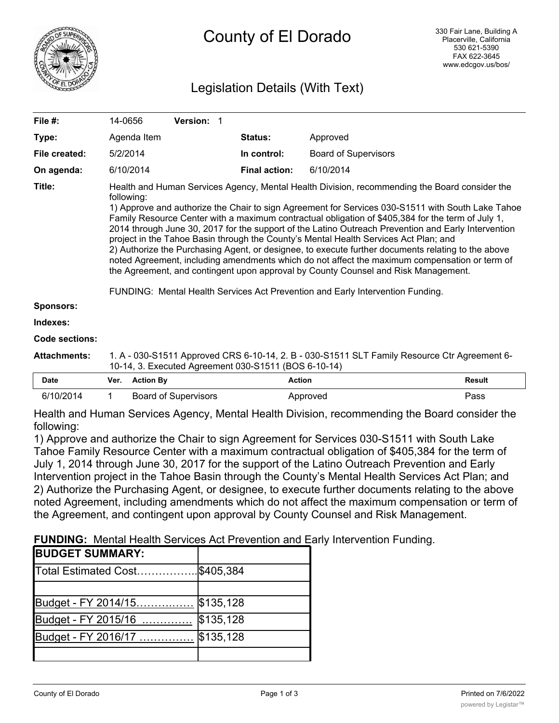

# Legislation Details (With Text)

| File #:               | 14-0656                                                                                                                                                                                                                                                                                                                                                                                                                                                                                                                                                                                                                                                                                                                                                                                                                                                                                             | <b>Version: 1</b> |                      |                             |        |
|-----------------------|-----------------------------------------------------------------------------------------------------------------------------------------------------------------------------------------------------------------------------------------------------------------------------------------------------------------------------------------------------------------------------------------------------------------------------------------------------------------------------------------------------------------------------------------------------------------------------------------------------------------------------------------------------------------------------------------------------------------------------------------------------------------------------------------------------------------------------------------------------------------------------------------------------|-------------------|----------------------|-----------------------------|--------|
| Type:                 | Agenda Item                                                                                                                                                                                                                                                                                                                                                                                                                                                                                                                                                                                                                                                                                                                                                                                                                                                                                         |                   | <b>Status:</b>       | Approved                    |        |
| File created:         | 5/2/2014                                                                                                                                                                                                                                                                                                                                                                                                                                                                                                                                                                                                                                                                                                                                                                                                                                                                                            |                   | In control:          | <b>Board of Supervisors</b> |        |
| On agenda:            | 6/10/2014                                                                                                                                                                                                                                                                                                                                                                                                                                                                                                                                                                                                                                                                                                                                                                                                                                                                                           |                   | <b>Final action:</b> | 6/10/2014                   |        |
| Title:                | Health and Human Services Agency, Mental Health Division, recommending the Board consider the<br>following:<br>1) Approve and authorize the Chair to sign Agreement for Services 030-S1511 with South Lake Tahoe<br>Family Resource Center with a maximum contractual obligation of \$405,384 for the term of July 1,<br>2014 through June 30, 2017 for the support of the Latino Outreach Prevention and Early Intervention<br>project in the Tahoe Basin through the County's Mental Health Services Act Plan; and<br>2) Authorize the Purchasing Agent, or designee, to execute further documents relating to the above<br>noted Agreement, including amendments which do not affect the maximum compensation or term of<br>the Agreement, and contingent upon approval by County Counsel and Risk Management.<br>FUNDING: Mental Health Services Act Prevention and Early Intervention Funding. |                   |                      |                             |        |
| <b>Sponsors:</b>      |                                                                                                                                                                                                                                                                                                                                                                                                                                                                                                                                                                                                                                                                                                                                                                                                                                                                                                     |                   |                      |                             |        |
| Indexes:              |                                                                                                                                                                                                                                                                                                                                                                                                                                                                                                                                                                                                                                                                                                                                                                                                                                                                                                     |                   |                      |                             |        |
| <b>Code sections:</b> |                                                                                                                                                                                                                                                                                                                                                                                                                                                                                                                                                                                                                                                                                                                                                                                                                                                                                                     |                   |                      |                             |        |
| <b>Attachments:</b>   | 1. A - 030-S1511 Approved CRS 6-10-14, 2. B - 030-S1511 SLT Family Resource Ctr Agreement 6-<br>10-14, 3. Executed Agreement 030-S1511 (BOS 6-10-14)                                                                                                                                                                                                                                                                                                                                                                                                                                                                                                                                                                                                                                                                                                                                                |                   |                      |                             |        |
| Date                  | Ver.<br><b>Action By</b>                                                                                                                                                                                                                                                                                                                                                                                                                                                                                                                                                                                                                                                                                                                                                                                                                                                                            |                   | <b>Action</b>        |                             | Result |

| <b>Date</b> | Ver. | <b>Action By</b>            | Action   | Result |
|-------------|------|-----------------------------|----------|--------|
| 6/10/2014   |      | <b>Board of Supervisors</b> | Approved | Pass   |

Health and Human Services Agency, Mental Health Division, recommending the Board consider the following:

1) Approve and authorize the Chair to sign Agreement for Services 030-S1511 with South Lake Tahoe Family Resource Center with a maximum contractual obligation of \$405,384 for the term of July 1, 2014 through June 30, 2017 for the support of the Latino Outreach Prevention and Early Intervention project in the Tahoe Basin through the County's Mental Health Services Act Plan; and 2) Authorize the Purchasing Agent, or designee, to execute further documents relating to the above noted Agreement, including amendments which do not affect the maximum compensation or term of the Agreement, and contingent upon approval by County Counsel and Risk Management.

**FUNDING:** Mental Health Services Act Prevention and Early Intervention Funding.

| <b>BUDGET SUMMARY:</b> |           |
|------------------------|-----------|
| Total Estimated Cost   | \$405,384 |
|                        |           |
| Budget - FY 2014/15    | \$135,128 |
| Budget - FY 2015/16    | \$135,128 |
| Budget - FY 2016/17    | \$135,128 |
|                        |           |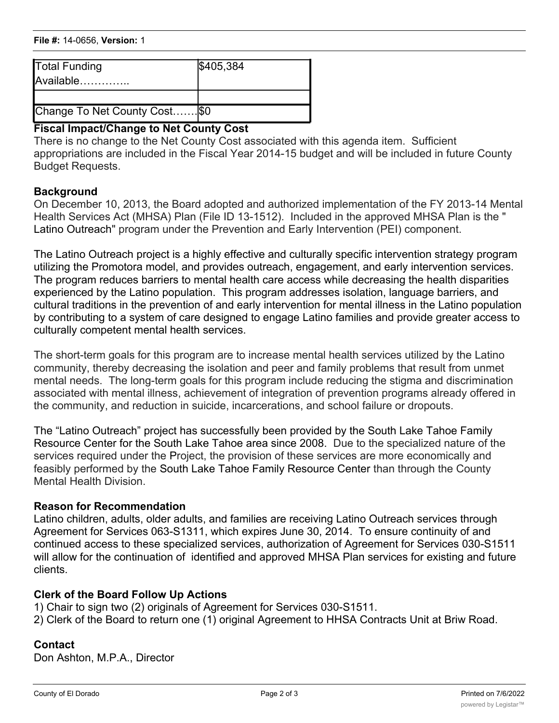| <b>Total Funding</b><br>Available | \$405,384 |
|-----------------------------------|-----------|
|                                   |           |
| Change To Net County Cost \$0     |           |

## **Fiscal Impact/Change to Net County Cost**

There is no change to the Net County Cost associated with this agenda item. Sufficient appropriations are included in the Fiscal Year 2014-15 budget and will be included in future County Budget Requests.

### **Background**

On December 10, 2013, the Board adopted and authorized implementation of the FY 2013-14 Mental Health Services Act (MHSA) Plan (File ID 13-1512). Included in the approved MHSA Plan is the " Latino Outreach" program under the Prevention and Early Intervention (PEI) component.

The Latino Outreach project is a highly effective and culturally specific intervention strategy program utilizing the Promotora model, and provides outreach, engagement, and early intervention services. The program reduces barriers to mental health care access while decreasing the health disparities experienced by the Latino population. This program addresses isolation, language barriers, and cultural traditions in the prevention of and early intervention for mental illness in the Latino population by contributing to a system of care designed to engage Latino families and provide greater access to culturally competent mental health services.

The short-term goals for this program are to increase mental health services utilized by the Latino community, thereby decreasing the isolation and peer and family problems that result from unmet mental needs. The long-term goals for this program include reducing the stigma and discrimination associated with mental illness, achievement of integration of prevention programs already offered in the community, and reduction in suicide, incarcerations, and school failure or dropouts.

The "Latino Outreach" project has successfully been provided by the South Lake Tahoe Family Resource Center for the South Lake Tahoe area since 2008. Due to the specialized nature of the services required under the Project, the provision of these services are more economically and feasibly performed by the South Lake Tahoe Family Resource Center than through the County Mental Health Division.

#### **Reason for Recommendation**

Latino children, adults, older adults, and families are receiving Latino Outreach services through Agreement for Services 063-S1311, which expires June 30, 2014. To ensure continuity of and continued access to these specialized services, authorization of Agreement for Services 030-S1511 will allow for the continuation of identified and approved MHSA Plan services for existing and future clients.

## **Clerk of the Board Follow Up Actions**

1) Chair to sign two (2) originals of Agreement for Services 030-S1511. 2) Clerk of the Board to return one (1) original Agreement to HHSA Contracts Unit at Briw Road.

## **Contact**

Don Ashton, M.P.A., Director